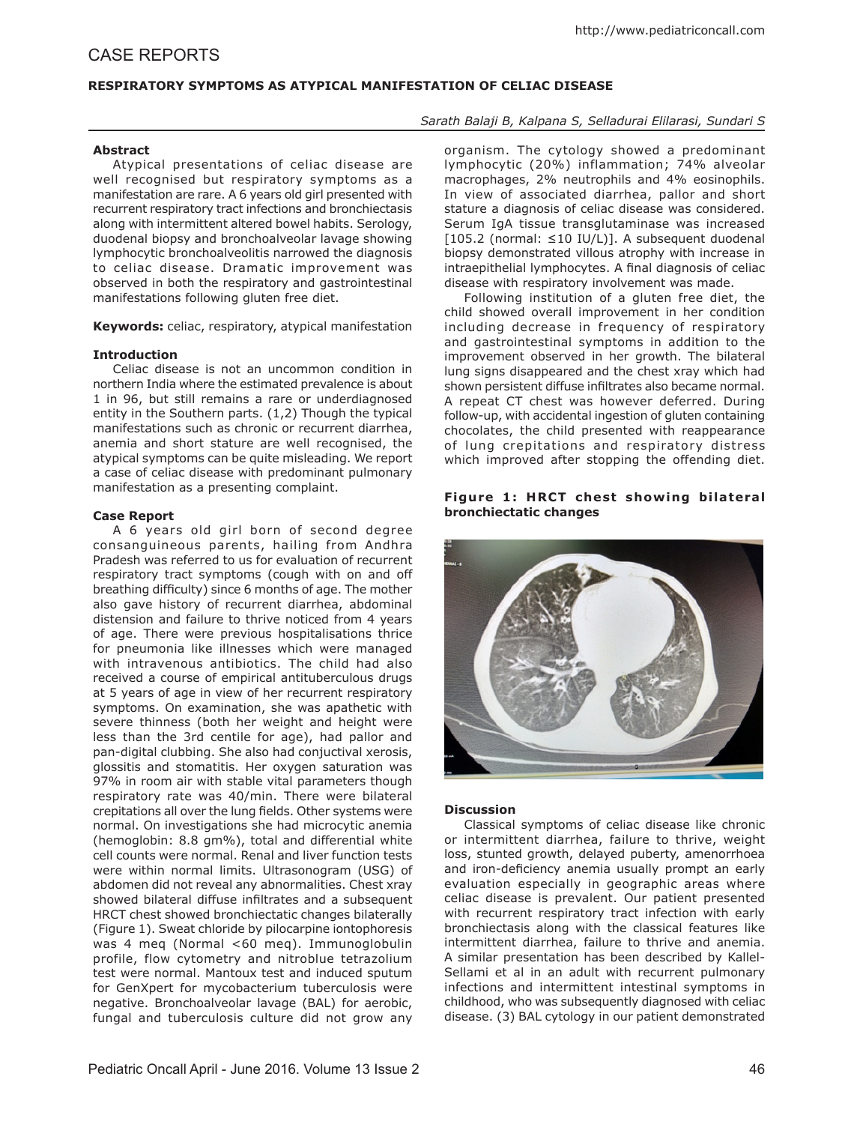# CASE REPORTS

# **RESPIRATORY SYMPTOMS AS ATYPICAL MANIFESTATION OF CELIAC DISEASE**

# *Sarath Balaji B, Kalpana S, Selladurai Elilarasi, Sundari S*

# **Abstract**

Atypical presentations of celiac disease are well recognised but respiratory symptoms as a manifestation are rare. A 6 years old girl presented with recurrent respiratory tract infections and bronchiectasis along with intermittent altered bowel habits. Serology, duodenal biopsy and bronchoalveolar lavage showing lymphocytic bronchoalveolitis narrowed the diagnosis to celiac disease. Dramatic improvement was observed in both the respiratory and gastrointestinal manifestations following gluten free diet.

**Keywords:** celiac, respiratory, atypical manifestation

### **Introduction**

Celiac disease is not an uncommon condition in northern India where the estimated prevalence is about 1 in 96, but still remains a rare or underdiagnosed entity in the Southern parts. (1,2) Though the typical manifestations such as chronic or recurrent diarrhea, anemia and short stature are well recognised, the atypical symptoms can be quite misleading. We report a case of celiac disease with predominant pulmonary manifestation as a presenting complaint.

#### **Case Report**

A 6 years old girl born of second degree consanguineous parents, hailing from Andhra Pradesh was referred to us for evaluation of recurrent respiratory tract symptoms (cough with on and off breathing difficulty) since 6 months of age. The mother also gave history of recurrent diarrhea, abdominal distension and failure to thrive noticed from 4 years of age. There were previous hospitalisations thrice for pneumonia like illnesses which were managed with intravenous antibiotics. The child had also received a course of empirical antituberculous drugs at 5 years of age in view of her recurrent respiratory symptoms. On examination, she was apathetic with severe thinness (both her weight and height were less than the 3rd centile for age), had pallor and pan-digital clubbing. She also had conjuctival xerosis, glossitis and stomatitis. Her oxygen saturation was 97% in room air with stable vital parameters though respiratory rate was 40/min. There were bilateral crepitations all over the lung fields. Other systems were normal. On investigations she had microcytic anemia (hemoglobin: 8.8 gm%), total and differential white cell counts were normal. Renal and liver function tests were within normal limits. Ultrasonogram (USG) of abdomen did not reveal any abnormalities. Chest xray showed bilateral diffuse infiltrates and a subsequent HRCT chest showed bronchiectatic changes bilaterally (Figure 1). Sweat chloride by pilocarpine iontophoresis was 4 meq (Normal <60 meq). Immunoglobulin profile, flow cytometry and nitroblue tetrazolium test were normal. Mantoux test and induced sputum for GenXpert for mycobacterium tuberculosis were negative. Bronchoalveolar lavage (BAL) for aerobic, fungal and tuberculosis culture did not grow any

organism. The cytology showed a predominant lymphocytic (20%) inflammation; 74% alveolar macrophages, 2% neutrophils and 4% eosinophils. In view of associated diarrhea, pallor and short stature a diagnosis of celiac disease was considered. Serum IgA tissue transglutaminase was increased [105.2 (normal: ≤10 IU/L)]. A subsequent duodenal biopsy demonstrated villous atrophy with increase in intraepithelial lymphocytes. A final diagnosis of celiac disease with respiratory involvement was made.

Following institution of a gluten free diet, the child showed overall improvement in her condition including decrease in frequency of respiratory and gastrointestinal symptoms in addition to the improvement observed in her growth. The bilateral lung signs disappeared and the chest xray which had shown persistent diffuse infiltrates also became normal. A repeat CT chest was however deferred. During follow-up, with accidental ingestion of gluten containing chocolates, the child presented with reappearance of lung crepitations and respiratory distress which improved after stopping the offending diet.

# **Figure 1: HRCT chest showing bilateral bronchiectatic changes**



### **Discussion**

Classical symptoms of celiac disease like chronic or intermittent diarrhea, failure to thrive, weight loss, stunted growth, delayed puberty, amenorrhoea and iron-deficiency anemia usually prompt an early evaluation especially in geographic areas where celiac disease is prevalent. Our patient presented with recurrent respiratory tract infection with early bronchiectasis along with the classical features like intermittent diarrhea, failure to thrive and anemia. A similar presentation has been described by Kallel-Sellami et al in an adult with recurrent pulmonary infections and intermittent intestinal symptoms in childhood, who was subsequently diagnosed with celiac disease. (3) BAL cytology in our patient demonstrated